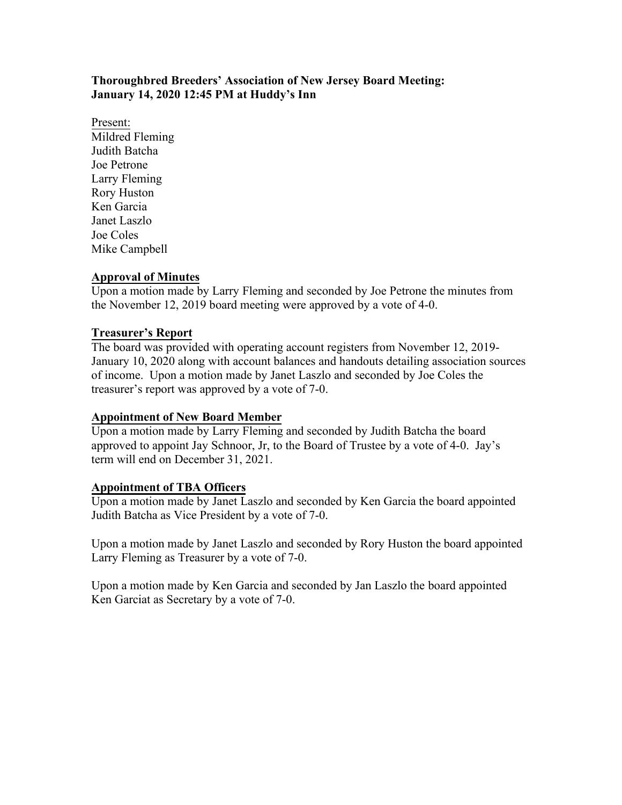# **Thoroughbred Breeders' Association of New Jersey Board Meeting: January 14, 2020 12:45 PM at Huddy's Inn**

Present: Mildred Fleming Judith Batcha Joe Petrone Larry Fleming Rory Huston Ken Garcia Janet Laszlo Joe Coles Mike Campbell

# **Approval of Minutes**

Upon a motion made by Larry Fleming and seconded by Joe Petrone the minutes from the November 12, 2019 board meeting were approved by a vote of 4-0.

### **Treasurer's Report**

The board was provided with operating account registers from November 12, 2019- January 10, 2020 along with account balances and handouts detailing association sources of income. Upon a motion made by Janet Laszlo and seconded by Joe Coles the treasurer's report was approved by a vote of 7-0.

### **Appointment of New Board Member**

Upon a motion made by Larry Fleming and seconded by Judith Batcha the board approved to appoint Jay Schnoor, Jr, to the Board of Trustee by a vote of 4-0. Jay's term will end on December 31, 2021.

### **Appointment of TBA Officers**

Upon a motion made by Janet Laszlo and seconded by Ken Garcia the board appointed Judith Batcha as Vice President by a vote of 7-0.

Upon a motion made by Janet Laszlo and seconded by Rory Huston the board appointed Larry Fleming as Treasurer by a vote of 7-0.

Upon a motion made by Ken Garcia and seconded by Jan Laszlo the board appointed Ken Garciat as Secretary by a vote of 7-0.